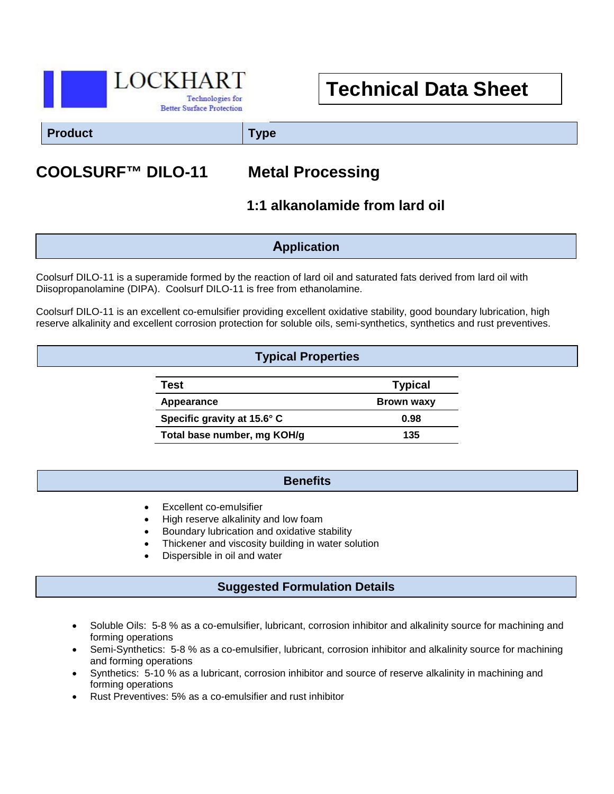

# **Technical Data Sheet**

**Product Type**

# **COOLSURF™ DILO-11 Metal Processing**

# **1:1 alkanolamide from lard oil**

### **Application**

Coolsurf DILO-11 is a superamide formed by the reaction of lard oil and saturated fats derived from lard oil with Diisopropanolamine (DIPA). Coolsurf DILO-11 is free from ethanolamine.

Coolsurf DILO-11 is an excellent co-emulsifier providing excellent oxidative stability, good boundary lubrication, high reserve alkalinity and excellent corrosion protection for soluble oils, semi-synthetics, synthetics and rust preventives.

#### **Typical Properties**

| Test                        | <b>Typical</b>    |
|-----------------------------|-------------------|
| Appearance                  | <b>Brown waxy</b> |
| Specific gravity at 15.6° C | 0.98              |
| Total base number, mg KOH/g | 135               |

#### **Benefits**

- Excellent co-emulsifier
- High reserve alkalinity and low foam
- Boundary lubrication and oxidative stability
- Thickener and viscosity building in water solution
- Dispersible in oil and water

### **Suggested Formulation Details**

- Soluble Oils: 5-8 % as a co-emulsifier, lubricant, corrosion inhibitor and alkalinity source for machining and forming operations
- Semi-Synthetics: 5-8 % as a co-emulsifier, lubricant, corrosion inhibitor and alkalinity source for machining and forming operations
- Synthetics: 5-10 % as a lubricant, corrosion inhibitor and source of reserve alkalinity in machining and forming operations
- Rust Preventives: 5% as a co-emulsifier and rust inhibitor